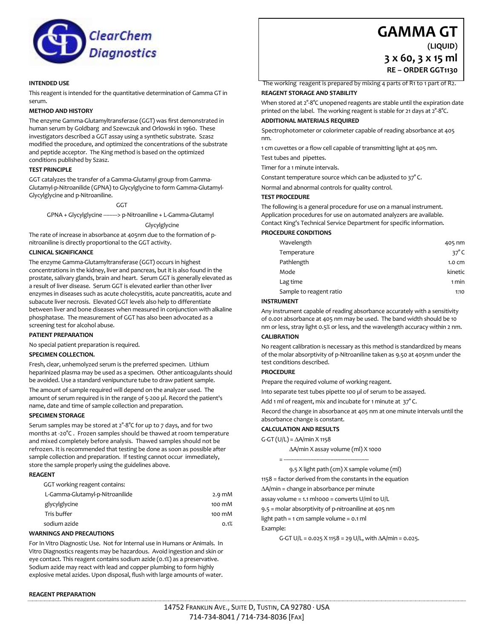

# **INTENDED USE**

This reagent is intended for the quantitative determination of Gamma GT in serum.

## **METHOD AND HISTORY**

The enzyme Gamma-Glutamyltransferase (GGT) was first demonstrated in human serum by Goldbarg and Szewczuk and Orlowski in 1960. These investigators described a GGT assay using a synthetic substrate. Szasz modified the procedure, and optimized the concentrations of the substrate and peptide acceptor. The King method is based on the optimized conditions published by Szasz.

## **TEST PRINCIPLE**

GGT catalyzes the transfer of a Gamma-Glutamyl group from Gamma-Glutamyl-p-Nitroanilide (GPNA) to Glycylglycine to form Gamma-Glutamyl-Glycylglycine and p-Nitroaniline.

GGT

GPNA + Glycylglycine ---------> p-Nitroaniline + L-Gamma-Glutamyl

Glycylglycine

The rate of increase in absorbance at 405nm due to the formation of pnitroaniline is directly proportional to the GGT activity.

## **CLINICAL SIGNIFICANCE**

The enzyme Gamma-Glutamyltransferase (GGT) occurs in highest concentrations in the kidney, liver and pancreas, but it is also found in the prostate, salivary glands, brain and heart. Serum GGT is generally elevated as a result of liver disease. Serum GGT is elevated earlier than other liver enzymes in diseases such as acute cholecystitis, acute pancreatitis, acute and subacute liver necrosis. Elevated GGT levels also help to differentiate between liver and bone diseases when measured in conjunction with alkaline phosphatase. The measurement of GGT has also been advocated as a screening test for alcohol abuse.

## **PATIENT PREPARATION**

No special patient preparation is required.

## **SPECIMEN COLLECTION.**

Fresh, clear, unhemolyzed serum is the preferred specimen. Lithium heparinized plasma may be used as a specimen. Other anticoagulants should be avoided. Use a standard venipuncture tube to draw patient sample.

The amount of sample required will depend on the analyzer used. The amount of serum required is in the range of 5-200 µl. Record the patient's name, date and time of sample collection and preparation.

## **SPECIMEN STORAGE**

Serum samples may be stored at  $2^{\circ}$ -8°C for up to 7 days, and for two months at -20°C . Frozen samples should be thawed at room temperature and mixed completely before analysis. Thawed samples should not be refrozen. It is recommended that testing be done as soon as possible after sample collection and preparation. If testing cannot occur immediately, store the sample properly using the guidelines above.

**REAGENT**

| $2.9 \text{ mM}$ |
|------------------|
| 100 mM           |
| 100 mM           |
| 0.1%             |
|                  |

## **WARNINGS AND PRECAUTIONS**

For In Vitro Diagnostic Use. Not for Internal use in Humans or Animals. In Vitro Diagnostics reagents may be hazardous. Avoid ingestion and skin or eye contact. This reagent contains sodium azide (0.1%) as a preservative. Sodium azide may react with lead and copper plumbing to form highly explosive metal azides. Upon disposal, flush with large amounts of water.

# **REAGENT PREPARATION**

# **GAMMA GT**

**(LIQUID) 3 x 60, 3 x 15 ml RE – ORDER GGT1130**

The working reagent is prepared by mixing 4 parts of R1 to 1 part of R2. **REAGENT STORAGE AND STABILITY**

When stored at 2°-8°C unopened reagents are stable until the expiration date printed on the label. The working reagent is stable for 21 days at 2°-8°C.

# **ADDITIONAL MATERIALS REQUIRED**

Spectrophotometer or colorimeter capable of reading absorbance at 405 nm.

1 cm cuvettes or a flow cell capable of transmitting light at 405 nm.

Test tubes and pipettes.

Timer for a 1 minute intervals.

Constant temperature source which can be adjusted to 37° C.

Normal and abnormal controls for quality control.

## **TEST PROCEDURE**

The following is a general procedure for use on a manual instrument. Application procedures for use on automated analyzers are available. Contact King's Technical Service Department for specific information.

## **PROCEDURE CONDITIONS**

| Wavelength              | 405 nm       |
|-------------------------|--------------|
| Temperature             | $37^\circ$ C |
| Pathlength              | 1.0 cm       |
| Mode                    | kinetic      |
| Lag time                | 1 min        |
| Sample to reagent ratio | 1:10         |

## **INSTRUMENT**

Any instrument capable of reading absorbance accurately with a sensitivity of 0.001 absorbance at 405 nm may be used. The band width should be 10 nm or less, stray light 0.5% or less, and the wavelength accuracy within 2 nm.

## **CALIBRATION**

No reagent calibration is necessary as this method is standardized by means of the molar absorptivity of p-Nitroaniline taken as 9.50 at 405nm under the test conditions described.

# **PROCEDURE**

Prepare the required volume of working reagent.

Into separate test tubes pipette 100 µl of serum to be assayed.

Add 1 ml of reagent, mix and incubate for 1 minute at  $37^{\circ}$  C.

Record the change in absorbance at 405 nm at one minute intervals until the absorbance change is constant.

## **CALCULATION AND RESULTS**

 $G-GT(U/L) = \Delta A/min X 1158$ 

A/min X assay volume (ml) X 1000

= ------------------------------------------------------- 9.5 X light path (cm) X sample volume (ml)

1158 = factor derived from the constants in the equation

A/min = change in absorbance per minute

assay volume =  $1.1$  ml $1000$  = converts U/ml to U/L

9.5 = molar absorptivity of p-nitroaniline at 405 nm

light path = 1 cm sample volume = 0.1 ml

Example:

G-GT U/L =  $0.025$  X 1158 = 29 U/L, with  $\Delta A$ /min =  $0.025$ .